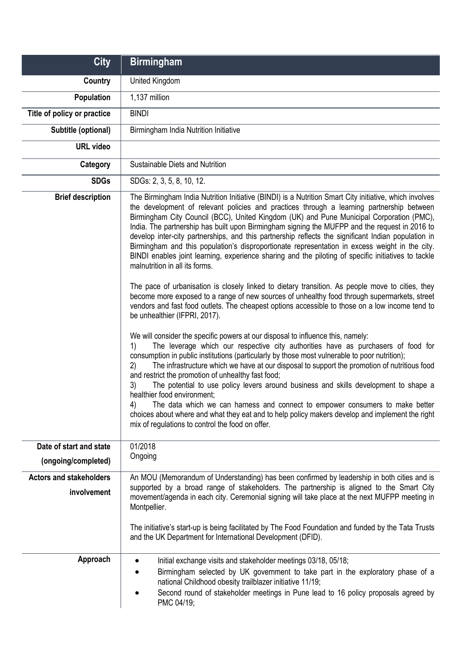| <b>City</b>                                   | <b>Birmingham</b>                                                                                                                                                                                                                                                                                                                                                                                                                                                                                                                                                                                                                                                                                                                                                                                                                                                                                                                                                                                                                                                                                                                                                                                                                                                                                                                                                                                                                                                                                                                                                                                                                                                                                                                                                                                                                                                                                                |
|-----------------------------------------------|------------------------------------------------------------------------------------------------------------------------------------------------------------------------------------------------------------------------------------------------------------------------------------------------------------------------------------------------------------------------------------------------------------------------------------------------------------------------------------------------------------------------------------------------------------------------------------------------------------------------------------------------------------------------------------------------------------------------------------------------------------------------------------------------------------------------------------------------------------------------------------------------------------------------------------------------------------------------------------------------------------------------------------------------------------------------------------------------------------------------------------------------------------------------------------------------------------------------------------------------------------------------------------------------------------------------------------------------------------------------------------------------------------------------------------------------------------------------------------------------------------------------------------------------------------------------------------------------------------------------------------------------------------------------------------------------------------------------------------------------------------------------------------------------------------------------------------------------------------------------------------------------------------------|
| Country                                       | United Kingdom                                                                                                                                                                                                                                                                                                                                                                                                                                                                                                                                                                                                                                                                                                                                                                                                                                                                                                                                                                                                                                                                                                                                                                                                                                                                                                                                                                                                                                                                                                                                                                                                                                                                                                                                                                                                                                                                                                   |
| Population                                    | 1,137 million                                                                                                                                                                                                                                                                                                                                                                                                                                                                                                                                                                                                                                                                                                                                                                                                                                                                                                                                                                                                                                                                                                                                                                                                                                                                                                                                                                                                                                                                                                                                                                                                                                                                                                                                                                                                                                                                                                    |
| Title of policy or practice                   | <b>BINDI</b>                                                                                                                                                                                                                                                                                                                                                                                                                                                                                                                                                                                                                                                                                                                                                                                                                                                                                                                                                                                                                                                                                                                                                                                                                                                                                                                                                                                                                                                                                                                                                                                                                                                                                                                                                                                                                                                                                                     |
| Subtitle (optional)                           | Birmingham India Nutrition Initiative                                                                                                                                                                                                                                                                                                                                                                                                                                                                                                                                                                                                                                                                                                                                                                                                                                                                                                                                                                                                                                                                                                                                                                                                                                                                                                                                                                                                                                                                                                                                                                                                                                                                                                                                                                                                                                                                            |
| <b>URL</b> video                              |                                                                                                                                                                                                                                                                                                                                                                                                                                                                                                                                                                                                                                                                                                                                                                                                                                                                                                                                                                                                                                                                                                                                                                                                                                                                                                                                                                                                                                                                                                                                                                                                                                                                                                                                                                                                                                                                                                                  |
| Category                                      | Sustainable Diets and Nutrition                                                                                                                                                                                                                                                                                                                                                                                                                                                                                                                                                                                                                                                                                                                                                                                                                                                                                                                                                                                                                                                                                                                                                                                                                                                                                                                                                                                                                                                                                                                                                                                                                                                                                                                                                                                                                                                                                  |
| <b>SDGs</b>                                   | SDGs: 2, 3, 5, 8, 10, 12.                                                                                                                                                                                                                                                                                                                                                                                                                                                                                                                                                                                                                                                                                                                                                                                                                                                                                                                                                                                                                                                                                                                                                                                                                                                                                                                                                                                                                                                                                                                                                                                                                                                                                                                                                                                                                                                                                        |
| <b>Brief description</b>                      | The Birmingham India Nutrition Initiative (BINDI) is a Nutrition Smart City initiative, which involves<br>the development of relevant policies and practices through a learning partnership between<br>Birmingham City Council (BCC), United Kingdom (UK) and Pune Municipal Corporation (PMC),<br>India. The partnership has built upon Birmingham signing the MUFPP and the request in 2016 to<br>develop inter-city partnerships, and this partnership reflects the significant Indian population in<br>Birmingham and this population's disproportionate representation in excess weight in the city.<br>BINDI enables joint learning, experience sharing and the piloting of specific initiatives to tackle<br>malnutrition in all its forms.<br>The pace of urbanisation is closely linked to dietary transition. As people move to cities, they<br>become more exposed to a range of new sources of unhealthy food through supermarkets, street<br>vendors and fast food outlets. The cheapest options accessible to those on a low income tend to<br>be unhealthier (IFPRI, 2017).<br>We will consider the specific powers at our disposal to influence this, namely:<br>The leverage which our respective city authorities have as purchasers of food for<br>1)<br>consumption in public institutions (particularly by those most vulnerable to poor nutrition);<br>The infrastructure which we have at our disposal to support the promotion of nutritious food<br>2)<br>and restrict the promotion of unhealthy fast food;<br>3)<br>The potential to use policy levers around business and skills development to shape a<br>healthier food environment;<br>The data which we can harness and connect to empower consumers to make better<br>4)<br>choices about where and what they eat and to help policy makers develop and implement the right<br>mix of regulations to control the food on offer. |
| Date of start and state                       | 01/2018                                                                                                                                                                                                                                                                                                                                                                                                                                                                                                                                                                                                                                                                                                                                                                                                                                                                                                                                                                                                                                                                                                                                                                                                                                                                                                                                                                                                                                                                                                                                                                                                                                                                                                                                                                                                                                                                                                          |
| (ongoing/completed)                           | Ongoing                                                                                                                                                                                                                                                                                                                                                                                                                                                                                                                                                                                                                                                                                                                                                                                                                                                                                                                                                                                                                                                                                                                                                                                                                                                                                                                                                                                                                                                                                                                                                                                                                                                                                                                                                                                                                                                                                                          |
| <b>Actors and stakeholders</b><br>involvement | An MOU (Memorandum of Understanding) has been confirmed by leadership in both cities and is<br>supported by a broad range of stakeholders. The partnership is aligned to the Smart City<br>movement/agenda in each city. Ceremonial signing will take place at the next MUFPP meeting in<br>Montpellier.<br>The initiative's start-up is being facilitated by The Food Foundation and funded by the Tata Trusts<br>and the UK Department for International Development (DFID).                                                                                                                                                                                                                                                                                                                                                                                                                                                                                                                                                                                                                                                                                                                                                                                                                                                                                                                                                                                                                                                                                                                                                                                                                                                                                                                                                                                                                                   |
| Approach                                      | Initial exchange visits and stakeholder meetings 03/18, 05/18;<br>Birmingham selected by UK government to take part in the exploratory phase of a<br>national Childhood obesity trailblazer initiative 11/19;<br>Second round of stakeholder meetings in Pune lead to 16 policy proposals agreed by<br>PMC 04/19;                                                                                                                                                                                                                                                                                                                                                                                                                                                                                                                                                                                                                                                                                                                                                                                                                                                                                                                                                                                                                                                                                                                                                                                                                                                                                                                                                                                                                                                                                                                                                                                                |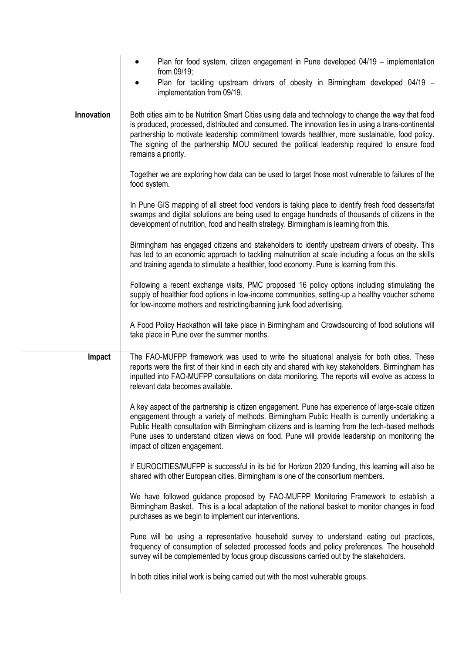|            | Plan for food system, citizen engagement in Pune developed 04/19 – implementation<br>from 09/19;                                                                                                                                                                                                                                                                                                                                       |
|------------|----------------------------------------------------------------------------------------------------------------------------------------------------------------------------------------------------------------------------------------------------------------------------------------------------------------------------------------------------------------------------------------------------------------------------------------|
|            | Plan for tackling upstream drivers of obesity in Birmingham developed 04/19 -<br>implementation from 09/19.                                                                                                                                                                                                                                                                                                                            |
| Innovation | Both cities aim to be Nutrition Smart Cities using data and technology to change the way that food<br>is produced, processed, distributed and consumed. The innovation lies in using a trans-continental<br>partnership to motivate leadership commitment towards healthier, more sustainable, food policy.<br>The signing of the partnership MOU secured the political leadership required to ensure food<br>remains a priority.      |
|            | Together we are exploring how data can be used to target those most vulnerable to failures of the<br>food system.                                                                                                                                                                                                                                                                                                                      |
|            | In Pune GIS mapping of all street food vendors is taking place to identify fresh food desserts/fat<br>swamps and digital solutions are being used to engage hundreds of thousands of citizens in the<br>development of nutrition, food and health strategy. Birmingham is learning from this.                                                                                                                                          |
|            | Birmingham has engaged citizens and stakeholders to identify upstream drivers of obesity. This<br>has led to an economic approach to tackling malnutrition at scale including a focus on the skills<br>and training agenda to stimulate a healthier, food economy. Pune is learning from this.                                                                                                                                         |
|            | Following a recent exchange visits, PMC proposed 16 policy options including stimulating the<br>supply of healthier food options in low-income communities, setting-up a healthy voucher scheme<br>for low-income mothers and restricting/banning junk food advertising.                                                                                                                                                               |
|            | A Food Policy Hackathon will take place in Birmingham and Crowdsourcing of food solutions will<br>take place in Pune over the summer months.                                                                                                                                                                                                                                                                                           |
| Impact     | The FAO-MUFPP framework was used to write the situational analysis for both cities. These<br>reports were the first of their kind in each city and shared with key stakeholders. Birmingham has<br>inputted into FAO-MUFPP consultations on data monitoring. The reports will evolve as access to<br>relevant data becomes available.                                                                                                  |
|            | A key aspect of the partnership is citizen engagement. Pune has experience of large-scale citizen<br>engagement through a variety of methods. Birmingham Public Health is currently undertaking a<br>Public Health consultation with Birmingham citizens and is learning from the tech-based methods<br>Pune uses to understand citizen views on food. Pune will provide leadership on monitoring the<br>impact of citizen engagement. |
|            | If EUROCITIES/MUFPP is successful in its bid for Horizon 2020 funding, this learning will also be<br>shared with other European cities. Birmingham is one of the consortium members.                                                                                                                                                                                                                                                   |
|            | We have followed guidance proposed by FAO-MUFPP Monitoring Framework to establish a<br>Birmingham Basket. This is a local adaptation of the national basket to monitor changes in food<br>purchases as we begin to implement our interventions.                                                                                                                                                                                        |
|            | Pune will be using a representative household survey to understand eating out practices,<br>frequency of consumption of selected processed foods and policy preferences. The household<br>survey will be complemented by focus group discussions carried out by the stakeholders.                                                                                                                                                      |
|            | In both cities initial work is being carried out with the most vulnerable groups.                                                                                                                                                                                                                                                                                                                                                      |